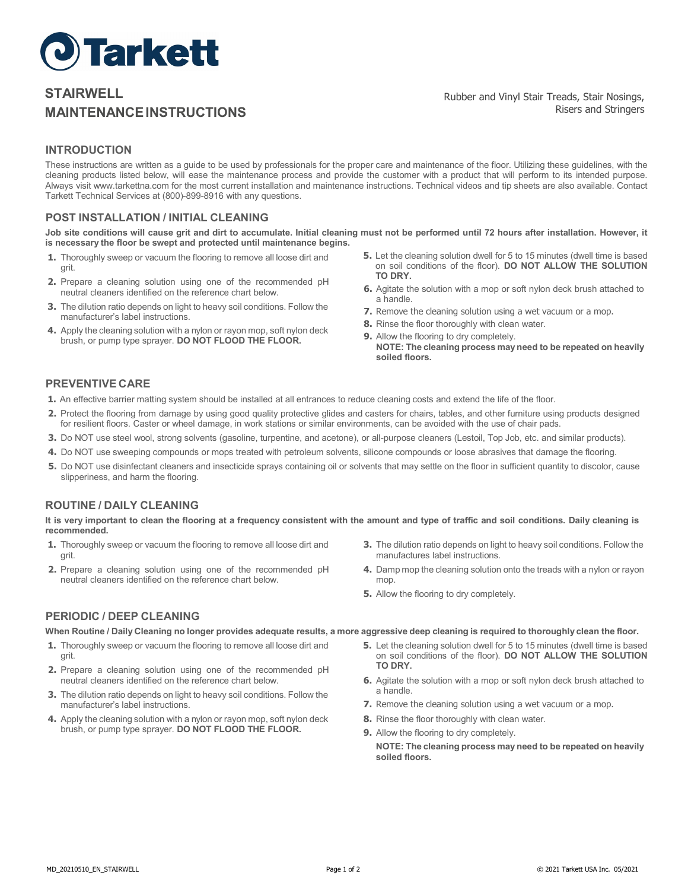

# **STAIRWELL MAINTENANCEINSTRUCTIONS**

# **INTRODUCTION**

These instructions are written as a guide to be used by professionals for the proper care and maintenance of the floor. Utilizing these guidelines, with the cleaning products listed below, will ease the maintenance process and provide the customer with a product that will perform to its intended purpose. Always visit [www.tarkettna.com](http://www.tarkettna.com/) for the most current installation and maintenance instructions. Technical videos and tip sheets are also available. Contact Tarkett Technical Services at (800)-899-8916 with any questions.

## **POST INSTALLATION / INITIAL CLEANING**

Job site conditions will cause grit and dirt to accumulate. Initial cleaning must not be performed until 72 hours after installation. However, it **is necessary the floor be swept and protected until maintenance begins.**

- **1.** Thoroughly sweep or vacuum the flooring to remove all loose dirt and grit.
- **2.** Prepare a cleaning solution using one of the recommended pH neutral cleaners identified on the reference chart below.
- **3.** The dilution ratio depends on light to heavy soil conditions. Follow the manufacturer's label instructions.
- **4.** Apply the cleaning solution with a nylon or rayon mop, soft nylon deck brush, or pump type sprayer. **DO NOT FLOOD THE FLOOR.**
- **5.** Let the cleaning solution dwell for 5 to 15 minutes (dwell time is based on soil conditions of the floor). **DO NOT ALLOW THE SOLUTION TO DRY.**
- **6.** Agitate the solution with a mop or soft nylon deck brush attached to a handle.
- **7.** Remove the cleaning solution using a wet vacuum or a mop.
- **8.** Rinse the floor thoroughly with clean water.
- **9.** Allow the flooring to dry completely. **NOTE: The cleaning process may need to be repeated on heavily soiled floors.**

## **PREVENTIVE CARE**

- **1.** An effective barrier matting system should be installed at all entrances to reduce cleaning costs and extend the life of the floor.
- **2.** Protect the flooring from damage by using good quality protective glides and casters for chairs, tables, and other furniture using products designed for resilient floors. Caster or wheel damage, in work stations or similar environments, can be avoided with the use of chair pads.
- **3.** Do NOT use steel wool, strong solvents (gasoline, turpentine, and acetone), or all-purpose cleaners (Lestoil, Top Job, etc. and similar products).
- **4.** Do NOT use sweeping compounds or mops treated with petroleum solvents, silicone compounds or loose abrasives that damage the flooring.
- **5.** Do NOT use disinfectant cleaners and insecticide sprays containing oil or solvents that may settle on the floor in sufficient quantity to discolor, cause slipperiness, and harm the flooring.

#### **ROUTINE / DAILY CLEANING**

It is very important to clean the flooring at a frequency consistent with the amount and type of traffic and soil conditions. Daily cleaning is **recommended.**

- **1.** Thoroughly sweep or vacuum the flooring to remove all loose dirt and grit.
- **2.** Prepare a cleaning solution using one of the recommended pH neutral cleaners identified on the reference chart below.
- **3.** The dilution ratio depends on light to heavy soil conditions. Follow the manufactures label instructions.
- **4.** Damp mop the cleaning solution onto the treads with a nylon or rayon mop.
- **5.** Allow the flooring to dry completely.

## **PERIODIC / DEEP CLEANING**

When Routine / Daily Cleaning no longer provides adequate results, a more aggressive deep cleaning is required to thoroughly clean the floor.

- **1.** Thoroughly sweep or vacuum the flooring to remove all loose dirt and grit.
- **2.** Prepare a cleaning solution using one of the recommended pH neutral cleaners identified on the reference chart below.
- **3.** The dilution ratio depends on light to heavy soil conditions. Follow the manufacturer's label instructions.
- **4.** Apply the cleaning solution with a nylon or rayon mop, soft nylon deck brush, or pump type sprayer. **DO NOT FLOOD THE FLOOR.**
- 
- **TO DRY. 6.** Agitate the solution with a mop or soft nylon deck brush attached to a handle.

**5.** Let the cleaning solution dwell for 5 to 15 minutes (dwell time is based on soil conditions of the floor). **DO NOT ALLOW THE SOLUTION**

- **7.** Remove the cleaning solution using a wet vacuum or a mop.
- **8.** Rinse the floor thoroughly with clean water.
- **9.** Allow the flooring to dry completely.
	- **NOTE: The cleaning process may need to be repeated on heavily soiled floors.**